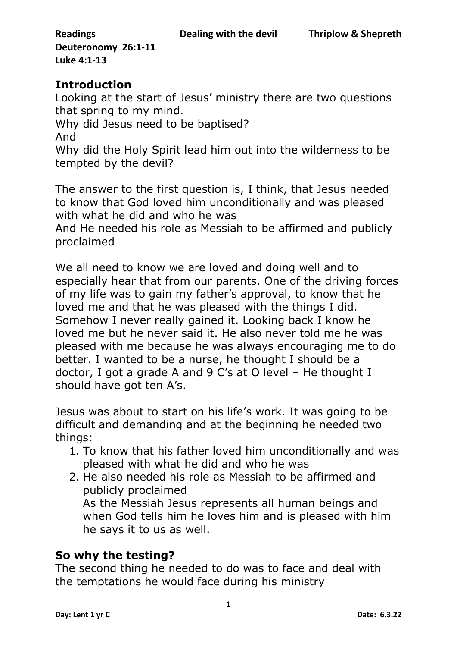# **Introduction**

Looking at the start of Jesus' ministry there are two questions that spring to my mind.

Why did Jesus need to be baptised?

And

Why did the Holy Spirit lead him out into the wilderness to be tempted by the devil?

The answer to the first question is, I think, that Jesus needed to know that God loved him unconditionally and was pleased with what he did and who he was

And He needed his role as Messiah to be affirmed and publicly proclaimed

We all need to know we are loved and doing well and to especially hear that from our parents. One of the driving forces of my life was to gain my father's approval, to know that he loved me and that he was pleased with the things I did. Somehow I never really gained it. Looking back I know he loved me but he never said it. He also never told me he was pleased with me because he was always encouraging me to do better. I wanted to be a nurse, he thought I should be a doctor, I got a grade A and 9 C's at O level – He thought I should have got ten A's.

Jesus was about to start on his life's work. It was going to be difficult and demanding and at the beginning he needed two things:

- 1. To know that his father loved him unconditionally and was pleased with what he did and who he was
- 2. He also needed his role as Messiah to be affirmed and publicly proclaimed

As the Messiah Jesus represents all human beings and when God tells him he loves him and is pleased with him he says it to us as well.

# **So why the testing?**

The second thing he needed to do was to face and deal with the temptations he would face during his ministry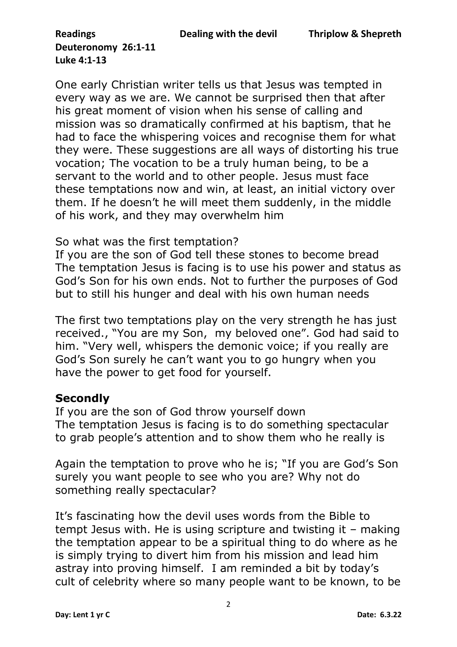One early Christian writer tells us that Jesus was tempted in every way as we are. We cannot be surprised then that after his great moment of vision when his sense of calling and mission was so dramatically confirmed at his baptism, that he had to face the whispering voices and recognise them for what they were. These suggestions are all ways of distorting his true vocation; The vocation to be a truly human being, to be a servant to the world and to other people. Jesus must face these temptations now and win, at least, an initial victory over them. If he doesn't he will meet them suddenly, in the middle of his work, and they may overwhelm him

#### So what was the first temptation?

If you are the son of God tell these stones to become bread The temptation Jesus is facing is to use his power and status as God's Son for his own ends. Not to further the purposes of God but to still his hunger and deal with his own human needs

The first two temptations play on the very strength he has just received., "You are my Son, my beloved one". God had said to him. "Very well, whispers the demonic voice; if you really are God's Son surely he can't want you to go hungry when you have the power to get food for yourself.

#### **Secondly**

If you are the son of God throw yourself down The temptation Jesus is facing is to do something spectacular to grab people's attention and to show them who he really is

Again the temptation to prove who he is; "If you are God's Son surely you want people to see who you are? Why not do something really spectacular?

It's fascinating how the devil uses words from the Bible to tempt Jesus with. He is using scripture and twisting it – making the temptation appear to be a spiritual thing to do where as he is simply trying to divert him from his mission and lead him astray into proving himself. I am reminded a bit by today's cult of celebrity where so many people want to be known, to be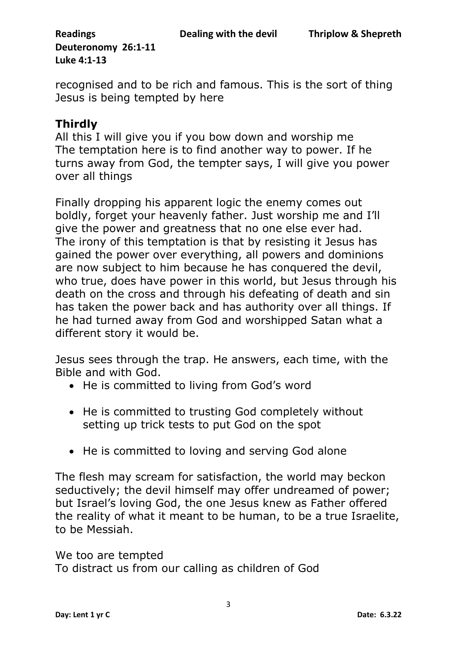recognised and to be rich and famous. This is the sort of thing Jesus is being tempted by here

# **Thirdly**

All this I will give you if you bow down and worship me The temptation here is to find another way to power. If he turns away from God, the tempter says, I will give you power over all things

Finally dropping his apparent logic the enemy comes out boldly, forget your heavenly father. Just worship me and I'll give the power and greatness that no one else ever had. The irony of this temptation is that by resisting it Jesus has gained the power over everything, all powers and dominions are now subject to him because he has conquered the devil, who true, does have power in this world, but Jesus through his death on the cross and through his defeating of death and sin has taken the power back and has authority over all things. If he had turned away from God and worshipped Satan what a different story it would be.

Jesus sees through the trap. He answers, each time, with the Bible and with God.

- He is committed to living from God's word
- He is committed to trusting God completely without setting up trick tests to put God on the spot
- He is committed to loving and serving God alone

The flesh may scream for satisfaction, the world may beckon seductively; the devil himself may offer undreamed of power; but Israel's loving God, the one Jesus knew as Father offered the reality of what it meant to be human, to be a true Israelite, to be Messiah.

We too are tempted To distract us from our calling as children of God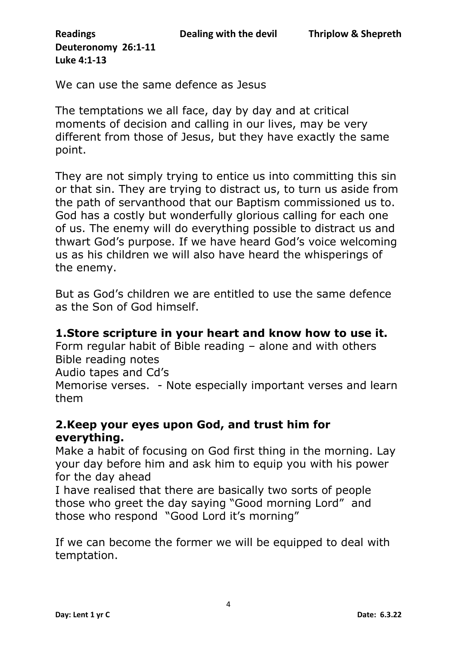We can use the same defence as Jesus

The temptations we all face, day by day and at critical moments of decision and calling in our lives, may be very different from those of Jesus, but they have exactly the same point.

They are not simply trying to entice us into committing this sin or that sin. They are trying to distract us, to turn us aside from the path of servanthood that our Baptism commissioned us to. God has a costly but wonderfully glorious calling for each one of us. The enemy will do everything possible to distract us and thwart God's purpose. If we have heard God's voice welcoming us as his children we will also have heard the whisperings of the enemy.

But as God's children we are entitled to use the same defence as the Son of God himself.

#### **1.Store scripture in your heart and know how to use it.**

Form regular habit of Bible reading – alone and with others Bible reading notes

Audio tapes and Cd's

Memorise verses. - Note especially important verses and learn them

## **2.Keep your eyes upon God, and trust him for everything.**

Make a habit of focusing on God first thing in the morning. Lay your day before him and ask him to equip you with his power for the day ahead

I have realised that there are basically two sorts of people those who greet the day saying "Good morning Lord" and those who respond "Good Lord it's morning"

If we can become the former we will be equipped to deal with temptation.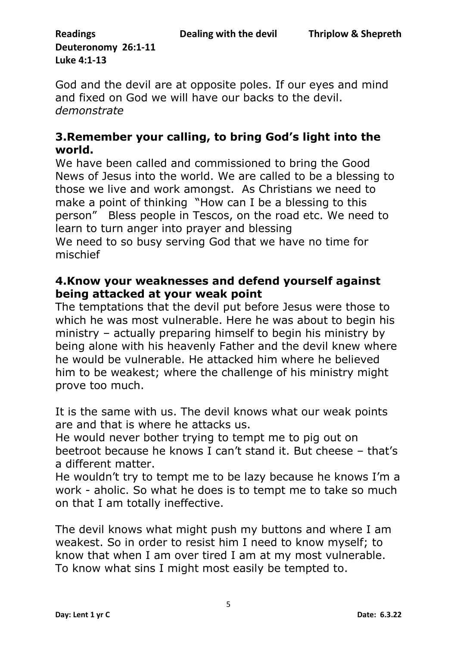God and the devil are at opposite poles. If our eyes and mind and fixed on God we will have our backs to the devil. *demonstrate*

## **3.Remember your calling, to bring God's light into the world.**

We have been called and commissioned to bring the Good News of Jesus into the world. We are called to be a blessing to those we live and work amongst. As Christians we need to make a point of thinking "How can I be a blessing to this person" Bless people in Tescos, on the road etc. We need to learn to turn anger into prayer and blessing We need to so busy serving God that we have no time for mischief

### **4.Know your weaknesses and defend yourself against being attacked at your weak point**

The temptations that the devil put before Jesus were those to which he was most vulnerable. Here he was about to begin his ministry – actually preparing himself to begin his ministry by being alone with his heavenly Father and the devil knew where he would be vulnerable. He attacked him where he believed him to be weakest; where the challenge of his ministry might prove too much.

It is the same with us. The devil knows what our weak points are and that is where he attacks us.

He would never bother trying to tempt me to pig out on beetroot because he knows I can't stand it. But cheese – that's a different matter.

He wouldn't try to tempt me to be lazy because he knows I'm a work - aholic. So what he does is to tempt me to take so much on that I am totally ineffective.

The devil knows what might push my buttons and where I am weakest. So in order to resist him I need to know myself; to know that when I am over tired I am at my most vulnerable. To know what sins I might most easily be tempted to.